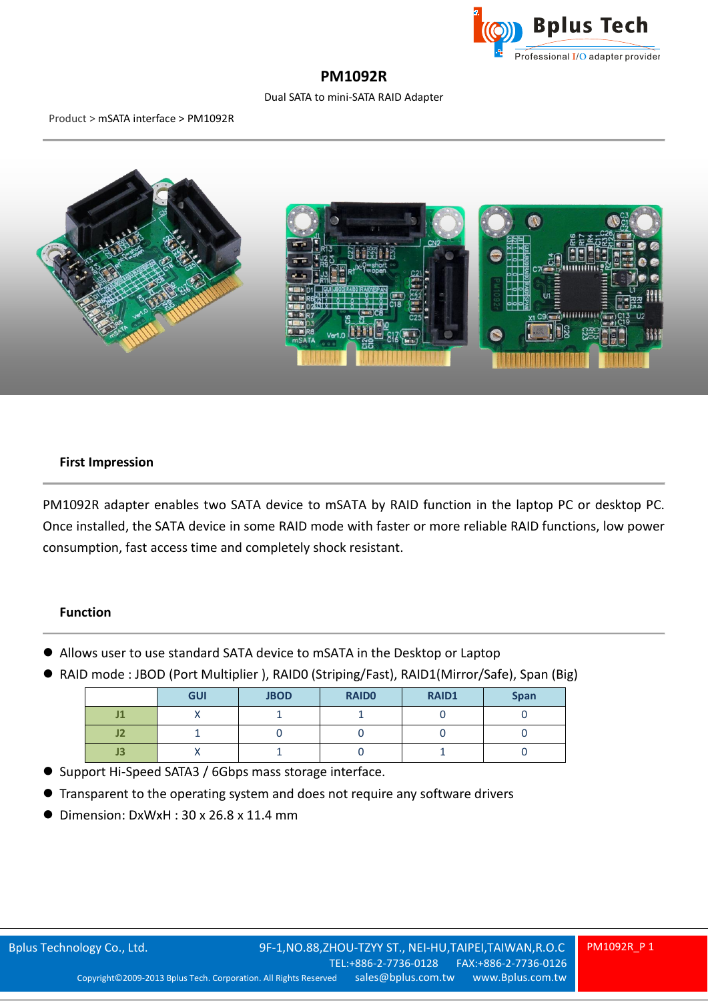

# **PM1092R**

# Dual SATA to mini-SATA RAID Adapter

#### Product > mSATA interface > PM1092R



# **First Impression**

PM1092R adapter enables two SATA device to mSATA by RAID function in the laptop PC or desktop PC. Once installed, the SATA device in some RAID mode with faster or more reliable RAID functions, low power consumption, fast access time and completely shock resistant.

## **Function**

- Allows user to use standard SATA device to mSATA in the Desktop or Laptop
- RAID mode : JBOD (Port Multiplier), RAID0 (Striping/Fast), RAID1(Mirror/Safe), Span (Big)

|                | <b>GUI</b> | <b>JBOD</b> | <b>RAIDO</b> | <b>RAID1</b> | <b>Span</b> |
|----------------|------------|-------------|--------------|--------------|-------------|
| т<br>5 L J     |            |             |              |              |             |
| œ<br>JZ        |            |             |              |              |             |
| J <sub>3</sub> |            |             |              |              |             |

- Support Hi-Speed SATA3 / 6Gbps mass storage interface.
- Transparent to the operating system and does not require any software drivers
- Dimension: DxWxH: 30 x 26.8 x 11.4 mm